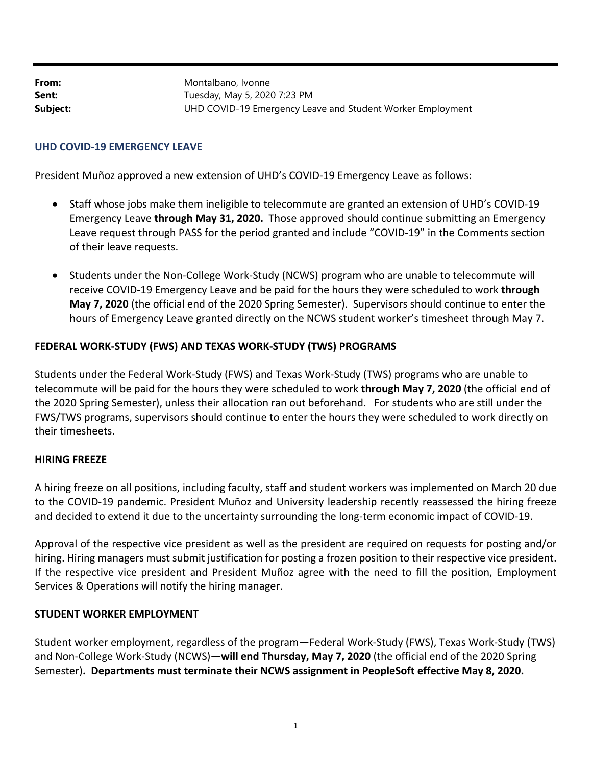**From:** Montalbano, Ivonne **Sent:** Tuesday, May 5, 2020 7:23 PM **Subject:** UHD COVID-19 Emergency Leave and Student Worker Employment

# **UHD COVID‐19 EMERGENCY LEAVE**

President Muñoz approved a new extension of UHD's COVID‐19 Emergency Leave as follows:

- Staff whose jobs make them ineligible to telecommute are granted an extension of UHD's COVID‐19 Emergency Leave **through May 31, 2020.** Those approved should continue submitting an Emergency Leave request through PASS for the period granted and include "COVID‐19" in the Comments section of their leave requests.
- Students under the Non-College Work-Study (NCWS) program who are unable to telecommute will receive COVID‐19 Emergency Leave and be paid for the hours they were scheduled to work **through May 7, 2020** (the official end of the 2020 Spring Semester). Supervisors should continue to enter the hours of Emergency Leave granted directly on the NCWS student worker's timesheet through May 7.

## **FEDERAL WORK‐STUDY (FWS) AND TEXAS WORK‐STUDY (TWS) PROGRAMS**

Students under the Federal Work‐Study (FWS) and Texas Work‐Study (TWS) programs who are unable to telecommute will be paid for the hours they were scheduled to work **through May 7, 2020** (the official end of the 2020 Spring Semester), unless their allocation ran out beforehand. For students who are still under the FWS/TWS programs, supervisors should continue to enter the hours they were scheduled to work directly on their timesheets.

### **HIRING FREEZE**

A hiring freeze on all positions, including faculty, staff and student workers was implemented on March 20 due to the COVID‐19 pandemic. President Muñoz and University leadership recently reassessed the hiring freeze and decided to extend it due to the uncertainty surrounding the long‐term economic impact of COVID‐19.

Approval of the respective vice president as well as the president are required on requests for posting and/or hiring. Hiring managers must submit justification for posting a frozen position to their respective vice president. If the respective vice president and President Muñoz agree with the need to fill the position, Employment Services & Operations will notify the hiring manager.

### **STUDENT WORKER EMPLOYMENT**

Student worker employment, regardless of the program—Federal Work‐Study (FWS), Texas Work‐Study (TWS) and Non‐College Work‐Study (NCWS)—**will end Thursday, May 7, 2020** (the official end of the 2020 Spring Semester)**. Departments must terminate their NCWS assignment in PeopleSoft effective May 8, 2020.**